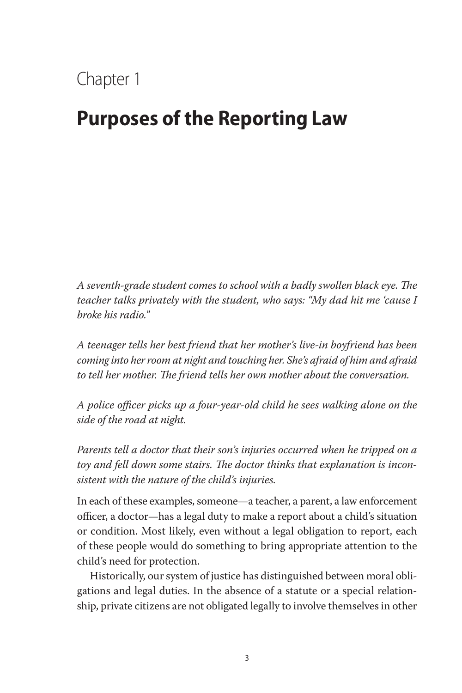## Chapter 1

## **Purposes of the Reporting Law**

*A seventh-grade student comes to school with a badly swollen black eye. The teacher talks privately with the student, who says: "My dad hit me 'cause I broke his radio."* 

*A teenager tells her best friend that her mother's live-in boyfriend has been coming into her room at night and touching her. She's afraid of him and afraid to tell her mother. The friend tells her own mother about the conversation.*

*A police officer picks up a four-year-old child he sees walking alone on the side of the road at night.*

*Parents tell a doctor that their son's injuries occurred when he tripped on a toy and fell down some stairs. The doctor thinks that explanation is inconsistent with the nature of the child's injuries.*

In each of these examples, someone—a teacher, a parent, a law enforcement officer, a doctor—has a legal duty to make a report about a child's situation or condition. Most likely, even without a legal obligation to report, each of these people would do something to bring appropriate attention to the child's need for protection.

Historically, our system of justice has distinguished between moral obligations and legal duties. In the absence of a statute or a special relationship, private citizens are not obligated legally to involve themselves in other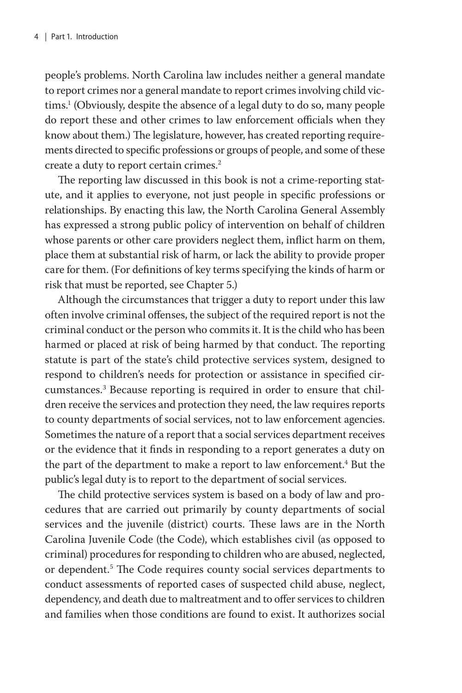people's problems. North Carolina law includes neither a general mandate to report crimes nor a general mandate to report crimes involving child victims.1 (Obviously, despite the absence of a legal duty to do so, many people do report these and other crimes to law enforcement officials when they know about them.) The legislature, however, has created reporting requirements directed to specific professions or groups of people, and some of these create a duty to report certain crimes.<sup>2</sup>

The reporting law discussed in this book is not a crime-reporting statute, and it applies to everyone, not just people in specific professions or relationships. By enacting this law, the North Carolina General Assembly has expressed a strong public policy of intervention on behalf of children whose parents or other care providers neglect them, inflict harm on them, place them at substantial risk of harm, or lack the ability to provide proper care for them. (For definitions of key terms specifying the kinds of harm or risk that must be reported, see Chapter 5.)

Although the circumstances that trigger a duty to report under this law often involve criminal offenses, the subject of the required report is not the criminal conduct or the person who commits it. It is the child who has been harmed or placed at risk of being harmed by that conduct. The reporting statute is part of the state's child protective services system, designed to respond to children's needs for protection or assistance in specified circumstances.3 Because reporting is required in order to ensure that children receive the services and protection they need, the law requires reports to county departments of social services, not to law enforcement agencies. Sometimes the nature of a report that a social services department receives or the evidence that it finds in responding to a report generates a duty on the part of the department to make a report to law enforcement.<sup>4</sup> But the public's legal duty is to report to the department of social services.

The child protective services system is based on a body of law and procedures that are carried out primarily by county departments of social services and the juvenile (district) courts. These laws are in the North Carolina Juvenile Code (the Code), which establishes civil (as opposed to criminal) procedures for responding to children who are abused, neglected, or dependent.5 The Code requires county social services departments to conduct assessments of reported cases of suspected child abuse, neglect, dependency, and death due to maltreatment and to offer services to children and families when those conditions are found to exist. It authorizes social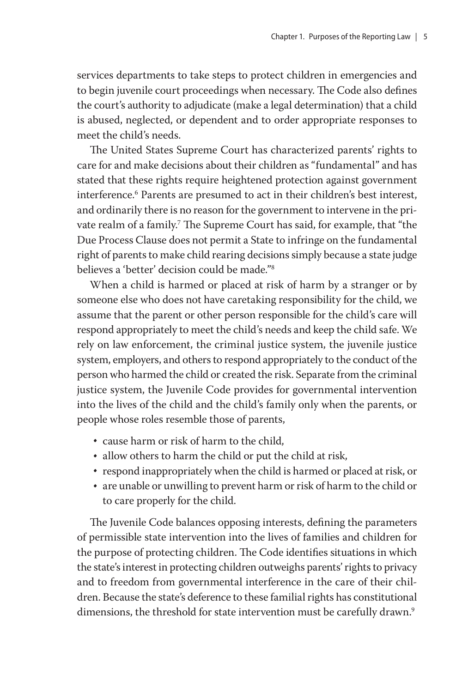services departments to take steps to protect children in emergencies and to begin juvenile court proceedings when necessary. The Code also defines the court's authority to adjudicate (make a legal determination) that a child is abused, neglected, or dependent and to order appropriate responses to meet the child's needs.

The United States Supreme Court has characterized parents' rights to care for and make decisions about their children as "fundamental" and has stated that these rights require heightened protection against government interference.6 Parents are presumed to act in their children's best interest, and ordinarily there is no reason for the government to intervene in the private realm of a family.7 The Supreme Court has said, for example, that "the Due Process Clause does not permit a State to infringe on the fundamental right of parents to make child rearing decisions simply because a state judge believes a 'better' decision could be made."8

When a child is harmed or placed at risk of harm by a stranger or by someone else who does not have caretaking responsibility for the child, we assume that the parent or other person responsible for the child's care will respond appropriately to meet the child's needs and keep the child safe. We rely on law enforcement, the criminal justice system, the juvenile justice system, employers, and others to respond appropriately to the conduct of the person who harmed the child or created the risk. Separate from the criminal justice system, the Juvenile Code provides for governmental intervention into the lives of the child and the child's family only when the parents, or people whose roles resemble those of parents,

- cause harm or risk of harm to the child,
- allow others to harm the child or put the child at risk,
- respond inappropriately when the child is harmed or placed at risk, or
- are unable or unwilling to prevent harm or risk of harm to the child or to care properly for the child.

The Juvenile Code balances opposing interests, defining the parameters of permissible state intervention into the lives of families and children for the purpose of protecting children. The Code identifies situations in which the state's interest in protecting children outweighs parents' rights to privacy and to freedom from governmental interference in the care of their children. Because the state's deference to these familial rights has constitutional dimensions, the threshold for state intervention must be carefully drawn.<sup>9</sup>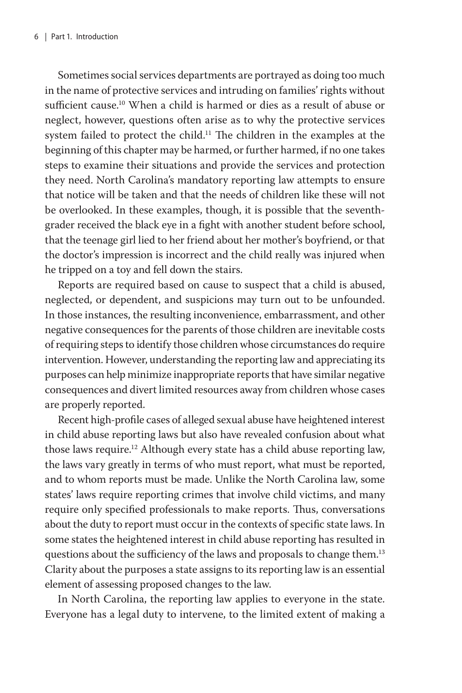Sometimes social services departments are portrayed as doing too much in the name of protective services and intruding on families' rights without sufficient cause.<sup>10</sup> When a child is harmed or dies as a result of abuse or neglect, however, questions often arise as to why the protective services system failed to protect the child.11 The children in the examples at the beginning of this chapter may be harmed, or further harmed, if no one takes steps to examine their situations and provide the services and protection they need. North Carolina's mandatory reporting law attempts to ensure that notice will be taken and that the needs of children like these will not be overlooked. In these examples, though, it is possible that the seventhgrader received the black eye in a fight with another student before school, that the teenage girl lied to her friend about her mother's boyfriend, or that the doctor's impression is incorrect and the child really was injured when he tripped on a toy and fell down the stairs.

Reports are required based on cause to suspect that a child is abused, neglected, or dependent, and suspicions may turn out to be unfounded. In those instances, the resulting inconvenience, embarrassment, and other negative consequences for the parents of those children are inevitable costs of requiring steps to identify those children whose circumstances do require intervention. However, understanding the reporting law and appreciating its purposes can help minimize inappropriate reports that have similar negative consequences and divert limited resources away from children whose cases are properly reported.

Recent high-profile cases of alleged sexual abuse have heightened interest in child abuse reporting laws but also have revealed confusion about what those laws require.12 Although every state has a child abuse reporting law, the laws vary greatly in terms of who must report, what must be reported, and to whom reports must be made. Unlike the North Carolina law, some states' laws require reporting crimes that involve child victims, and many require only specified professionals to make reports. Thus, conversations about the duty to report must occur in the contexts of specific state laws. In some states the heightened interest in child abuse reporting has resulted in questions about the sufficiency of the laws and proposals to change them.<sup>13</sup> Clarity about the purposes a state assigns to its reporting law is an essential element of assessing proposed changes to the law.

In North Carolina, the reporting law applies to everyone in the state. Everyone has a legal duty to intervene, to the limited extent of making a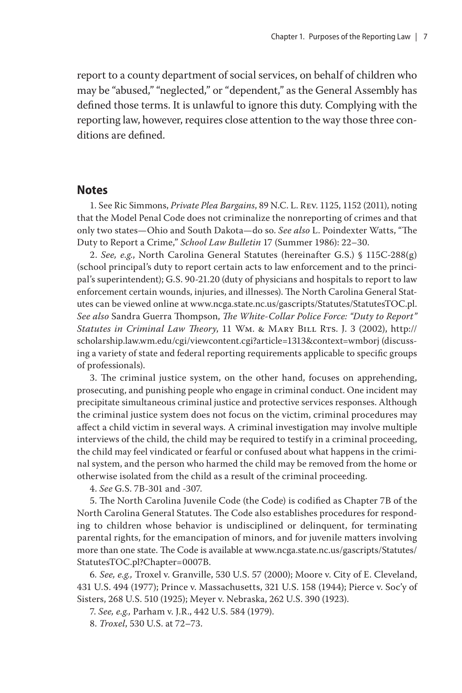report to a county department of social services, on behalf of children who may be "abused," "neglected," or "dependent," as the General Assembly has defined those terms. It is unlawful to ignore this duty. Complying with the reporting law, however, requires close attention to the way those three conditions are defined.

## **Notes**

1. See Ric Simmons, *Private Plea Bargains*, 89 N.C. L. Rev. 1125, 1152 (2011), noting that the Model Penal Code does not criminalize the nonreporting of crimes and that only two states—Ohio and South Dakota—do so. *See also* L. Poindexter Watts, "The Duty to Report a Crime," *School Law Bulletin* 17 (Summer 1986): 22–30.

2. *See, e.g*., North Carolina General Statutes (hereinafter G.S.) § 115C-288(g) (school principal's duty to report certain acts to law enforcement and to the principal's superintendent); G.S. 90-21.20 (duty of physicians and hospitals to report to law enforcement certain wounds, injuries, and illnesses). The North Carolina General Statutes can be viewed online at www.ncga.state.nc.us/gascripts/Statutes/StatutesTOC.pl. *See also* Sandra Guerra Thompson, *The White-Collar Police Force: "Duty to Report" Statutes in Criminal Law Theory*, 11 Wm. & Mary Bill Rts. J. 3 (2002), http:// scholarship.law.wm.edu/cgi/viewcontent.cgi?article=1313&context=wmborj (discussing a variety of state and federal reporting requirements applicable to specific groups of professionals).

3. The criminal justice system, on the other hand, focuses on apprehending, prosecuting, and punishing people who engage in criminal conduct. One incident may precipitate simultaneous criminal justice and protective services responses. Although the criminal justice system does not focus on the victim, criminal procedures may affect a child victim in several ways. A criminal investigation may involve multiple interviews of the child, the child may be required to testify in a criminal proceeding, the child may feel vindicated or fearful or confused about what happens in the criminal system, and the person who harmed the child may be removed from the home or otherwise isolated from the child as a result of the criminal proceeding.

4. *See* G.S. 7B-301 and -307.

5. The North Carolina Juvenile Code (the Code) is codified as Chapter 7B of the North Carolina General Statutes. The Code also establishes procedures for responding to children whose behavior is undisciplined or delinquent, for terminating parental rights, for the emancipation of minors, and for juvenile matters involving more than one state. The Code is available at www.ncga.state.nc.us/gascripts/Statutes/ StatutesTOC.pl?Chapter=0007B.

6*. See, e.g.,* Troxel v. Granville, 530 U.S. 57 (2000); Moore v. City of E. Cleveland, 431 U.S. 494 (1977); Prince v. Massachusetts, 321 U.S. 158 (1944); Pierce v. Soc'y of Sisters, 268 U.S. 510 (1925); Meyer v. Nebraska, 262 U.S. 390 (1923).

7. *See, e.g.,* Parham v. J.R., 442 U.S. 584 (1979).

8. *Troxel*, 530 U.S. at 72–73.